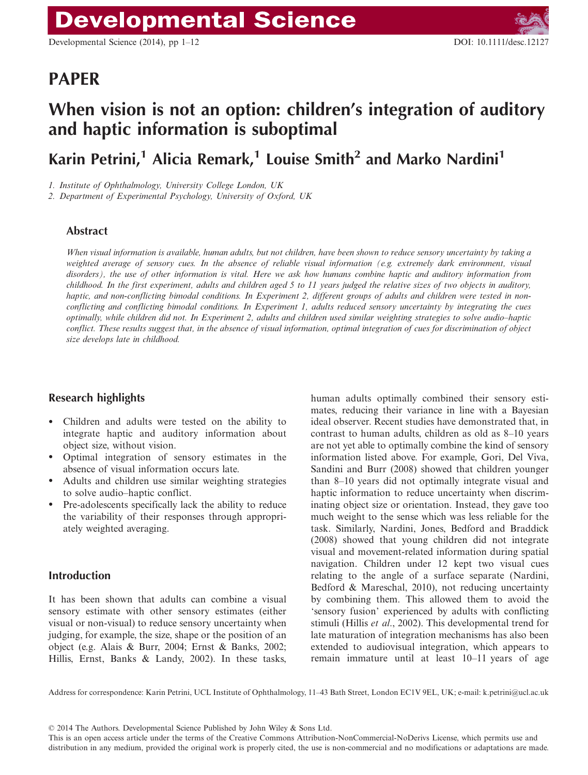# PAPER

# When vision is not an option: children's integration of auditory and haptic information is suboptimal

Karin Petrini,<sup>1</sup> Alicia Remark,<sup>1</sup> Louise Smith<sup>2</sup> and Marko Nardini<sup>1</sup>

1. Institute of Ophthalmology, University College London, UK

2. Department of Experimental Psychology, University of Oxford, UK

### Abstract

When visual information is available, human adults, but not children, have been shown to reduce sensory uncertainty by taking a weighted average of sensory cues. In the absence of reliable visual information (e.g. extremely dark environment, visual disorders), the use of other information is vital. Here we ask how humans combine haptic and auditory information from childhood. In the first experiment, adults and children aged 5 to 11 years judged the relative sizes of two objects in auditory, haptic, and non-conflicting bimodal conditions. In Experiment 2, different groups of adults and children were tested in nonconflicting and conflicting bimodal conditions. In Experiment 1, adults reduced sensory uncertainty by integrating the cues optimally, while children did not. In Experiment 2, adults and children used similar weighting strategies to solve audio–haptic conflict. These results suggest that, in the absence of visual information, optimal integration of cues for discrimination of object size develops late in childhood.

## Research highlights

- Children and adults were tested on the ability to integrate haptic and auditory information about object size, without vision.
- Optimal integration of sensory estimates in the absence of visual information occurs late.
- Adults and children use similar weighting strategies to solve audio–haptic conflict.
- Pre-adolescents specifically lack the ability to reduce the variability of their responses through appropriately weighted averaging.

## Introduction

It has been shown that adults can combine a visual sensory estimate with other sensory estimates (either visual or non-visual) to reduce sensory uncertainty when judging, for example, the size, shape or the position of an object (e.g. Alais & Burr, 2004; Ernst & Banks, 2002; Hillis, Ernst, Banks & Landy, 2002). In these tasks,

human adults optimally combined their sensory estimates, reducing their variance in line with a Bayesian ideal observer. Recent studies have demonstrated that, in contrast to human adults, children as old as 8–10 years are not yet able to optimally combine the kind of sensory information listed above. For example, Gori, Del Viva, Sandini and Burr (2008) showed that children younger than 8–10 years did not optimally integrate visual and haptic information to reduce uncertainty when discriminating object size or orientation. Instead, they gave too much weight to the sense which was less reliable for the task. Similarly, Nardini, Jones, Bedford and Braddick (2008) showed that young children did not integrate visual and movement-related information during spatial navigation. Children under 12 kept two visual cues relating to the angle of a surface separate (Nardini, Bedford & Mareschal, 2010), not reducing uncertainty by combining them. This allowed them to avoid the 'sensory fusion' experienced by adults with conflicting stimuli (Hillis et al., 2002). This developmental trend for late maturation of integration mechanisms has also been extended to audiovisual integration, which appears to remain immature until at least 10–11 years of age

Address for correspondence: Karin Petrini, UCL Institute of Ophthalmology, 11–43 Bath Street, London EC1V 9EL, UK; e-mail: k.petrini@ucl.ac.uk

© 2014 The Authors. Developmental Science Published by John Wiley & Sons Ltd.

This is an open access article under the terms of the Creative Commons Attribution-NonCommercial-NoDerivs License, which permits use and distribution in any medium, provided the original work is properly cited, the use is non-commercial and no modifications or adaptations are made.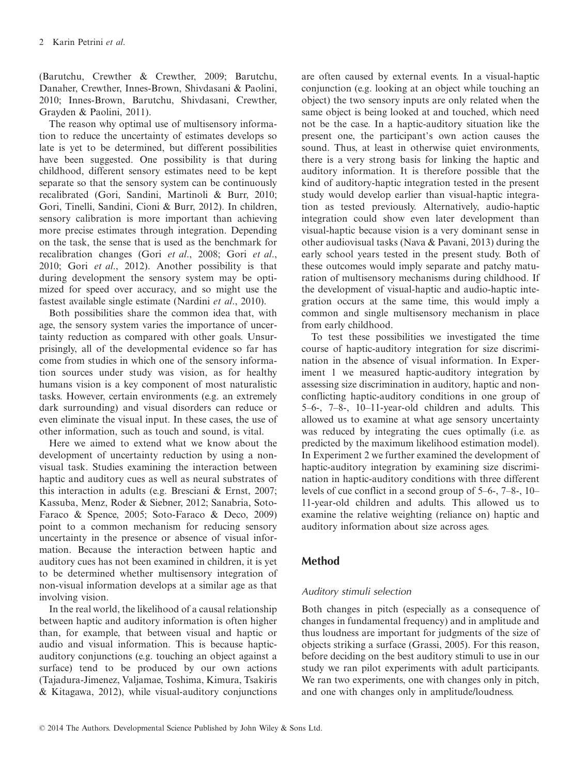(Barutchu, Crewther & Crewther, 2009; Barutchu, Danaher, Crewther, Innes-Brown, Shivdasani & Paolini, 2010; Innes-Brown, Barutchu, Shivdasani, Crewther, Grayden & Paolini, 2011).

The reason why optimal use of multisensory information to reduce the uncertainty of estimates develops so late is yet to be determined, but different possibilities have been suggested. One possibility is that during childhood, different sensory estimates need to be kept separate so that the sensory system can be continuously recalibrated (Gori, Sandini, Martinoli & Burr, 2010; Gori, Tinelli, Sandini, Cioni & Burr, 2012). In children, sensory calibration is more important than achieving more precise estimates through integration. Depending on the task, the sense that is used as the benchmark for recalibration changes (Gori et al., 2008; Gori et al., 2010; Gori et al., 2012). Another possibility is that during development the sensory system may be optimized for speed over accuracy, and so might use the fastest available single estimate (Nardini et al., 2010).

Both possibilities share the common idea that, with age, the sensory system varies the importance of uncertainty reduction as compared with other goals. Unsurprisingly, all of the developmental evidence so far has come from studies in which one of the sensory information sources under study was vision, as for healthy humans vision is a key component of most naturalistic tasks. However, certain environments (e.g. an extremely dark surrounding) and visual disorders can reduce or even eliminate the visual input. In these cases, the use of other information, such as touch and sound, is vital.

Here we aimed to extend what we know about the development of uncertainty reduction by using a nonvisual task. Studies examining the interaction between haptic and auditory cues as well as neural substrates of this interaction in adults (e.g. Bresciani & Ernst, 2007; Kassuba, Menz, Roder & Siebner, 2012; Sanabria, Soto-Faraco & Spence, 2005; Soto-Faraco & Deco, 2009) point to a common mechanism for reducing sensory uncertainty in the presence or absence of visual information. Because the interaction between haptic and auditory cues has not been examined in children, it is yet to be determined whether multisensory integration of non-visual information develops at a similar age as that involving vision.

In the real world, the likelihood of a causal relationship between haptic and auditory information is often higher than, for example, that between visual and haptic or audio and visual information. This is because hapticauditory conjunctions (e.g. touching an object against a surface) tend to be produced by our own actions (Tajadura-Jimenez, Valjamae, Toshima, Kimura, Tsakiris & Kitagawa, 2012), while visual-auditory conjunctions

are often caused by external events. In a visual-haptic conjunction (e.g. looking at an object while touching an object) the two sensory inputs are only related when the same object is being looked at and touched, which need not be the case. In a haptic-auditory situation like the present one, the participant's own action causes the sound. Thus, at least in otherwise quiet environments, there is a very strong basis for linking the haptic and auditory information. It is therefore possible that the kind of auditory-haptic integration tested in the present study would develop earlier than visual-haptic integration as tested previously. Alternatively, audio-haptic integration could show even later development than visual-haptic because vision is a very dominant sense in other audiovisual tasks (Nava & Pavani, 2013) during the early school years tested in the present study. Both of these outcomes would imply separate and patchy maturation of multisensory mechanisms during childhood. If the development of visual-haptic and audio-haptic integration occurs at the same time, this would imply a common and single multisensory mechanism in place from early childhood.

To test these possibilities we investigated the time course of haptic-auditory integration for size discrimination in the absence of visual information. In Experiment 1 we measured haptic-auditory integration by assessing size discrimination in auditory, haptic and nonconflicting haptic-auditory conditions in one group of 5–6-, 7–8-, 10–11-year-old children and adults. This allowed us to examine at what age sensory uncertainty was reduced by integrating the cues optimally (i.e. as predicted by the maximum likelihood estimation model). In Experiment 2 we further examined the development of haptic-auditory integration by examining size discrimination in haptic-auditory conditions with three different levels of cue conflict in a second group of 5–6-, 7–8-, 10– 11-year-old children and adults. This allowed us to examine the relative weighting (reliance on) haptic and auditory information about size across ages.

## Method

## Auditory stimuli selection

Both changes in pitch (especially as a consequence of changes in fundamental frequency) and in amplitude and thus loudness are important for judgments of the size of objects striking a surface (Grassi, 2005). For this reason, before deciding on the best auditory stimuli to use in our study we ran pilot experiments with adult participants. We ran two experiments, one with changes only in pitch, and one with changes only in amplitude/loudness.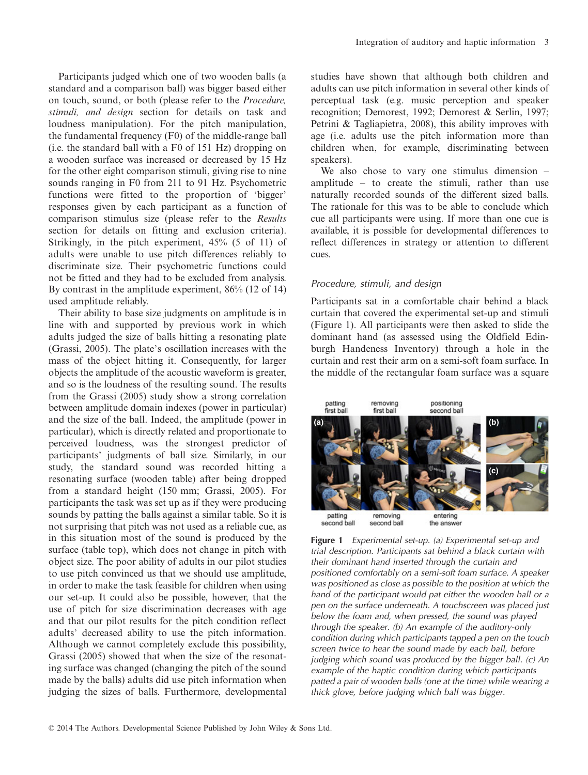Participants judged which one of two wooden balls (a standard and a comparison ball) was bigger based either on touch, sound, or both (please refer to the Procedure, stimuli, and design section for details on task and loudness manipulation). For the pitch manipulation, the fundamental frequency (F0) of the middle-range ball (i.e. the standard ball with a F0 of 151 Hz) dropping on a wooden surface was increased or decreased by 15 Hz for the other eight comparison stimuli, giving rise to nine sounds ranging in F0 from 211 to 91 Hz. Psychometric functions were fitted to the proportion of 'bigger' responses given by each participant as a function of comparison stimulus size (please refer to the Results section for details on fitting and exclusion criteria). Strikingly, in the pitch experiment, 45% (5 of 11) of adults were unable to use pitch differences reliably to discriminate size. Their psychometric functions could not be fitted and they had to be excluded from analysis. By contrast in the amplitude experiment, 86% (12 of 14) used amplitude reliably.

Their ability to base size judgments on amplitude is in line with and supported by previous work in which adults judged the size of balls hitting a resonating plate (Grassi, 2005). The plate's oscillation increases with the mass of the object hitting it. Consequently, for larger objects the amplitude of the acoustic waveform is greater, and so is the loudness of the resulting sound. The results from the Grassi (2005) study show a strong correlation between amplitude domain indexes (power in particular) and the size of the ball. Indeed, the amplitude (power in particular), which is directly related and proportionate to perceived loudness, was the strongest predictor of participants' judgments of ball size. Similarly, in our study, the standard sound was recorded hitting a resonating surface (wooden table) after being dropped from a standard height (150 mm; Grassi, 2005). For participants the task was set up as if they were producing sounds by patting the balls against a similar table. So it is not surprising that pitch was not used as a reliable cue, as in this situation most of the sound is produced by the surface (table top), which does not change in pitch with object size. The poor ability of adults in our pilot studies to use pitch convinced us that we should use amplitude, in order to make the task feasible for children when using our set-up. It could also be possible, however, that the use of pitch for size discrimination decreases with age and that our pilot results for the pitch condition reflect adults' decreased ability to use the pitch information. Although we cannot completely exclude this possibility, Grassi (2005) showed that when the size of the resonating surface was changed (changing the pitch of the sound made by the balls) adults did use pitch information when judging the sizes of balls. Furthermore, developmental studies have shown that although both children and adults can use pitch information in several other kinds of perceptual task (e.g. music perception and speaker recognition; Demorest, 1992; Demorest & Serlin, 1997; Petrini & Tagliapietra, 2008), this ability improves with age (i.e. adults use the pitch information more than children when, for example, discriminating between speakers).

We also chose to vary one stimulus dimension – amplitude – to create the stimuli, rather than use naturally recorded sounds of the different sized balls. The rationale for this was to be able to conclude which cue all participants were using. If more than one cue is available, it is possible for developmental differences to reflect differences in strategy or attention to different cues.

#### Procedure, stimuli, and design

Participants sat in a comfortable chair behind a black curtain that covered the experimental set-up and stimuli (Figure 1). All participants were then asked to slide the dominant hand (as assessed using the Oldfield Edinburgh Handeness Inventory) through a hole in the curtain and rest their arm on a semi-soft foam surface. In the middle of the rectangular foam surface was a square



Figure 1 Experimental set-up. (a) Experimental set-up and trial description. Participants sat behind a black curtain with their dominant hand inserted through the curtain and positioned comfortably on a semi-soft foam surface. A speaker was positioned as close as possible to the position at which the hand of the participant would pat either the wooden ball or a pen on the surface underneath. A touchscreen was placed just below the foam and, when pressed, the sound was played through the speaker. (b) An example of the auditory-only condition during which participants tapped a pen on the touch screen twice to hear the sound made by each ball, before judging which sound was produced by the bigger ball. (c) An example of the haptic condition during which participants patted a pair of wooden balls (one at the time) while wearing a thick glove, before judging which ball was bigger.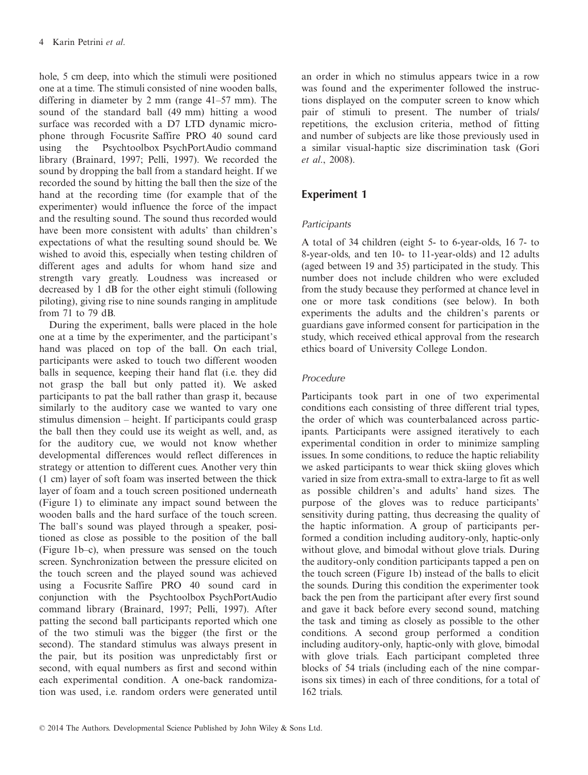hole, 5 cm deep, into which the stimuli were positioned one at a time. The stimuli consisted of nine wooden balls, differing in diameter by 2 mm (range 41–57 mm). The sound of the standard ball (49 mm) hitting a wood surface was recorded with a D7 LTD dynamic microphone through Focusrite Saffire PRO 40 sound card using the Psychtoolbox PsychPortAudio command library (Brainard, 1997; Pelli, 1997). We recorded the sound by dropping the ball from a standard height. If we recorded the sound by hitting the ball then the size of the hand at the recording time (for example that of the experimenter) would influence the force of the impact and the resulting sound. The sound thus recorded would have been more consistent with adults' than children's expectations of what the resulting sound should be. We wished to avoid this, especially when testing children of different ages and adults for whom hand size and strength vary greatly. Loudness was increased or decreased by 1 dB for the other eight stimuli (following piloting), giving rise to nine sounds ranging in amplitude from 71 to 79 dB.

During the experiment, balls were placed in the hole one at a time by the experimenter, and the participant's hand was placed on top of the ball. On each trial, participants were asked to touch two different wooden balls in sequence, keeping their hand flat (i.e. they did not grasp the ball but only patted it). We asked participants to pat the ball rather than grasp it, because similarly to the auditory case we wanted to vary one stimulus dimension – height. If participants could grasp the ball then they could use its weight as well, and, as for the auditory cue, we would not know whether developmental differences would reflect differences in strategy or attention to different cues. Another very thin (1 cm) layer of soft foam was inserted between the thick layer of foam and a touch screen positioned underneath (Figure 1) to eliminate any impact sound between the wooden balls and the hard surface of the touch screen. The ball's sound was played through a speaker, positioned as close as possible to the position of the ball (Figure 1b–c), when pressure was sensed on the touch screen. Synchronization between the pressure elicited on the touch screen and the played sound was achieved using a Focusrite Saffire PRO 40 sound card in conjunction with the Psychtoolbox PsychPortAudio command library (Brainard, 1997; Pelli, 1997). After patting the second ball participants reported which one of the two stimuli was the bigger (the first or the second). The standard stimulus was always present in the pair, but its position was unpredictably first or second, with equal numbers as first and second within each experimental condition. A one-back randomization was used, i.e. random orders were generated until

an order in which no stimulus appears twice in a row was found and the experimenter followed the instructions displayed on the computer screen to know which pair of stimuli to present. The number of trials/ repetitions, the exclusion criteria, method of fitting and number of subjects are like those previously used in a similar visual-haptic size discrimination task (Gori et al., 2008).

# Experiment 1

## **Participants**

A total of 34 children (eight 5- to 6-year-olds, 16 7- to 8-year-olds, and ten 10- to 11-year-olds) and 12 adults (aged between 19 and 35) participated in the study. This number does not include children who were excluded from the study because they performed at chance level in one or more task conditions (see below). In both experiments the adults and the children's parents or guardians gave informed consent for participation in the study, which received ethical approval from the research ethics board of University College London.

## Procedure

Participants took part in one of two experimental conditions each consisting of three different trial types, the order of which was counterbalanced across participants. Participants were assigned iteratively to each experimental condition in order to minimize sampling issues. In some conditions, to reduce the haptic reliability we asked participants to wear thick skiing gloves which varied in size from extra-small to extra-large to fit as well as possible children's and adults' hand sizes. The purpose of the gloves was to reduce participants' sensitivity during patting, thus decreasing the quality of the haptic information. A group of participants performed a condition including auditory-only, haptic-only without glove, and bimodal without glove trials. During the auditory-only condition participants tapped a pen on the touch screen (Figure 1b) instead of the balls to elicit the sounds. During this condition the experimenter took back the pen from the participant after every first sound and gave it back before every second sound, matching the task and timing as closely as possible to the other conditions. A second group performed a condition including auditory-only, haptic-only with glove, bimodal with glove trials. Each participant completed three blocks of 54 trials (including each of the nine comparisons six times) in each of three conditions, for a total of 162 trials.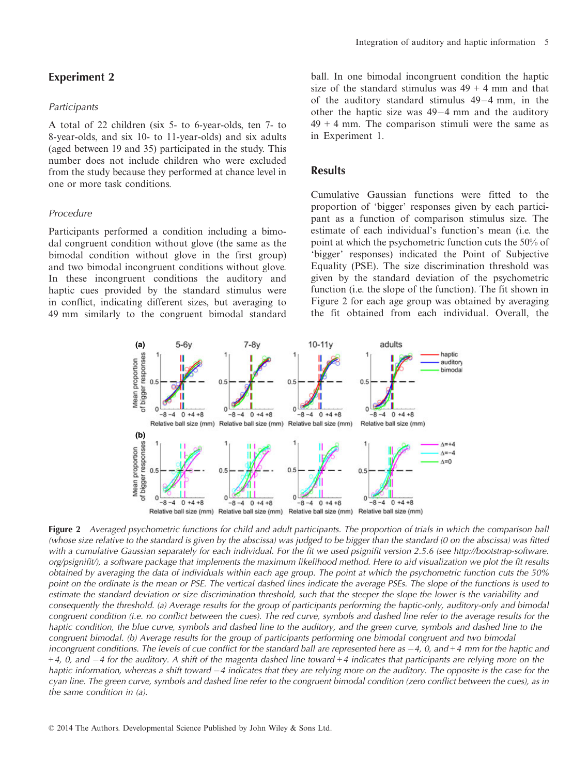## Experiment 2

#### **Participants**

A total of 22 children (six 5- to 6-year-olds, ten 7- to 8-year-olds, and six 10- to 11-year-olds) and six adults (aged between 19 and 35) participated in the study. This number does not include children who were excluded from the study because they performed at chance level in one or more task conditions.

## Procedure

Participants performed a condition including a bimodal congruent condition without glove (the same as the bimodal condition without glove in the first group) and two bimodal incongruent conditions without glove. In these incongruent conditions the auditory and haptic cues provided by the standard stimulus were in conflict, indicating different sizes, but averaging to 49 mm similarly to the congruent bimodal standard ball. In one bimodal incongruent condition the haptic size of the standard stimulus was  $49 + 4$  mm and that of the auditory standard stimulus  $49-4$  mm, in the other the haptic size was  $49-4$  mm and the auditory  $49 + 4$  mm. The comparison stimuli were the same as in Experiment 1.

## **Results**

Cumulative Gaussian functions were fitted to the proportion of 'bigger' responses given by each participant as a function of comparison stimulus size. The estimate of each individual's function's mean (i.e. the point at which the psychometric function cuts the 50% of 'bigger' responses) indicated the Point of Subjective Equality (PSE). The size discrimination threshold was given by the standard deviation of the psychometric function (i.e. the slope of the function). The fit shown in Figure 2 for each age group was obtained by averaging the fit obtained from each individual. Overall, the



Figure 2 Averaged psychometric functions for child and adult participants. The proportion of trials in which the comparison ball (whose size relative to the standard is given by the abscissa) was judged to be bigger than the standard (0 on the abscissa) was fitted with a cumulative Gaussian separately for each individual. For the fit we used psignifit version 2.5.6 (see http://bootstrap-software. org/psignifit/), a software package that implements the maximum likelihood method. Here to aid visualization we plot the fit results obtained by averaging the data of individuals within each age group. The point at which the psychometric function cuts the 50% point on the ordinate is the mean or PSE. The vertical dashed lines indicate the average PSEs. The slope of the functions is used to estimate the standard deviation or size discrimination threshold, such that the steeper the slope the lower is the variability and consequently the threshold. (a) Average results for the group of participants performing the haptic-only, auditory-only and bimodal congruent condition (i.e. no conflict between the cues). The red curve, symbols and dashed line refer to the average results for the haptic condition, the blue curve, symbols and dashed line to the auditory, and the green curve, symbols and dashed line to the congruent bimodal. (b) Average results for the group of participants performing one bimodal congruent and two bimodal incongruent conditions. The levels of cue conflict for the standard ball are represented here as  $-4$ , 0, and  $+4$  mm for the haptic and  $+4$ , 0, and  $-4$  for the auditory. A shift of the magenta dashed line toward  $+4$  indicates that participants are relying more on the haptic information, whereas a shift toward  $-4$  indicates that they are relying more on the auditory. The opposite is the case for the cyan line. The green curve, symbols and dashed line refer to the congruent bimodal condition (zero conflict between the cues), as in the same condition in (a).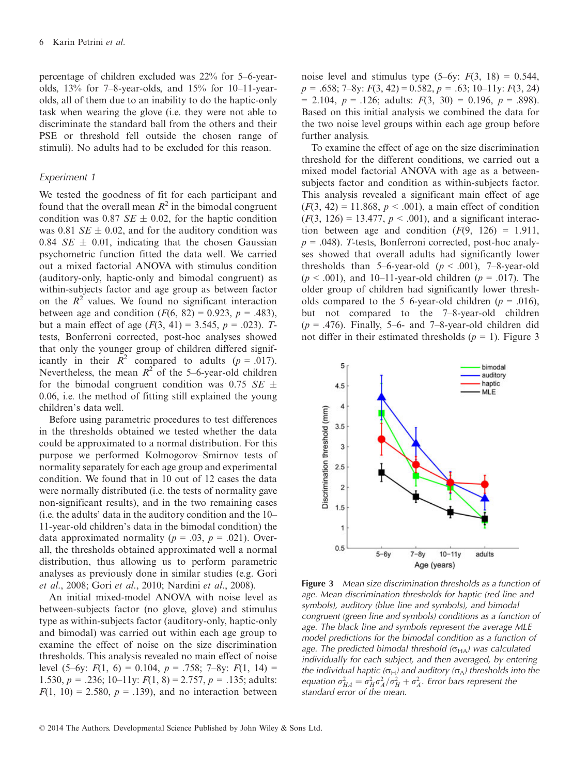percentage of children excluded was 22% for 5–6-yearolds, 13% for 7–8-year-olds, and 15% for 10–11-yearolds, all of them due to an inability to do the haptic-only task when wearing the glove (i.e. they were not able to discriminate the standard ball from the others and their PSE or threshold fell outside the chosen range of stimuli). No adults had to be excluded for this reason.

#### Experiment 1

We tested the goodness of fit for each participant and found that the overall mean  $R^2$  in the bimodal congruent condition was 0.87  $SE \pm 0.02$ , for the haptic condition was 0.81  $SE \pm 0.02$ , and for the auditory condition was 0.84  $SE \pm 0.01$ , indicating that the chosen Gaussian psychometric function fitted the data well. We carried out a mixed factorial ANOVA with stimulus condition (auditory-only, haptic-only and bimodal congruent) as within-subjects factor and age group as between factor on the  $R^2$  values. We found no significant interaction between age and condition  $(F(6, 82) = 0.923, p = .483)$ , but a main effect of age  $(F(3, 41) = 3.545, p = .023)$ . Ttests, Bonferroni corrected, post-hoc analyses showed that only the younger group of children differed significantly in their  $R^2$  compared to adults (p = .017). Nevertheless, the mean  $R^2$  of the 5–6-year-old children for the bimodal congruent condition was 0.75 SE  $\pm$ 0.06, i.e. the method of fitting still explained the young children's data well.

Before using parametric procedures to test differences in the thresholds obtained we tested whether the data could be approximated to a normal distribution. For this purpose we performed Kolmogorov–Smirnov tests of normality separately for each age group and experimental condition. We found that in 10 out of 12 cases the data were normally distributed (i.e. the tests of normality gave non-significant results), and in the two remaining cases (i.e. the adults' data in the auditory condition and the 10– 11-year-old children's data in the bimodal condition) the data approximated normality ( $p = .03$ ,  $p = .021$ ). Overall, the thresholds obtained approximated well a normal distribution, thus allowing us to perform parametric analyses as previously done in similar studies (e.g. Gori et al., 2008; Gori et al., 2010; Nardini et al., 2008).

An initial mixed-model ANOVA with noise level as between-subjects factor (no glove, glove) and stimulus type as within-subjects factor (auditory-only, haptic-only and bimodal) was carried out within each age group to examine the effect of noise on the size discrimination thresholds. This analysis revealed no main effect of noise level  $(5-6y: F(1, 6) = 0.104, p = .758; 7-8y: F(1, 14) =$ 1.530,  $p = .236$ ; 10–11y:  $F(1, 8) = 2.757$ ,  $p = .135$ ; adults:  $F(1, 10) = 2.580, p = .139$ , and no interaction between

noise level and stimulus type  $(5-6y: F(3, 18) = 0.544,$  $p = .658; 7 - 8y: F(3, 42) = 0.582, p = .63; 10 - 11y: F(3, 24)$  $= 2.104, p = .126$ ; adults:  $F(3, 30) = 0.196, p = .898$ ). Based on this initial analysis we combined the data for the two noise level groups within each age group before further analysis.

To examine the effect of age on the size discrimination threshold for the different conditions, we carried out a mixed model factorial ANOVA with age as a betweensubjects factor and condition as within-subjects factor. This analysis revealed a significant main effect of age  $(F(3, 42) = 11.868, p < .001)$ , a main effect of condition  $(F(3, 126) = 13.477, p < .001)$ , and a significant interaction between age and condition  $(F(9, 126) = 1.911,$  $p = .048$ ). T-tests, Bonferroni corrected, post-hoc analyses showed that overall adults had significantly lower thresholds than 5–6-year-old  $(p < .001)$ , 7–8-year-old  $(p < .001)$ , and 10–11-year-old children  $(p = .017)$ . The older group of children had significantly lower thresholds compared to the 5–6-year-old children ( $p = .016$ ), but not compared to the 7–8-year-old children  $(p = .476)$ . Finally, 5–6- and 7–8-year-old children did not differ in their estimated thresholds ( $p = 1$ ). Figure 3



Figure 3 Mean size discrimination thresholds as a function of age. Mean discrimination thresholds for haptic (red line and symbols), auditory (blue line and symbols), and bimodal congruent (green line and symbols) conditions as a function of age. The black line and symbols represent the average MLE model predictions for the bimodal condition as a function of age. The predicted bimodal threshold  $(\sigma_{HA})$  was calculated individually for each subject, and then averaged, by entering the individual haptic ( $\sigma_H$ ) and auditory ( $\sigma_A$ ) thresholds into the equation  $\sigma_{HA}^2 = \sigma_H^2 \sigma_A^2 / \sigma_H^2 + \sigma_A^2$ . Error bars represent the standard error of the mean.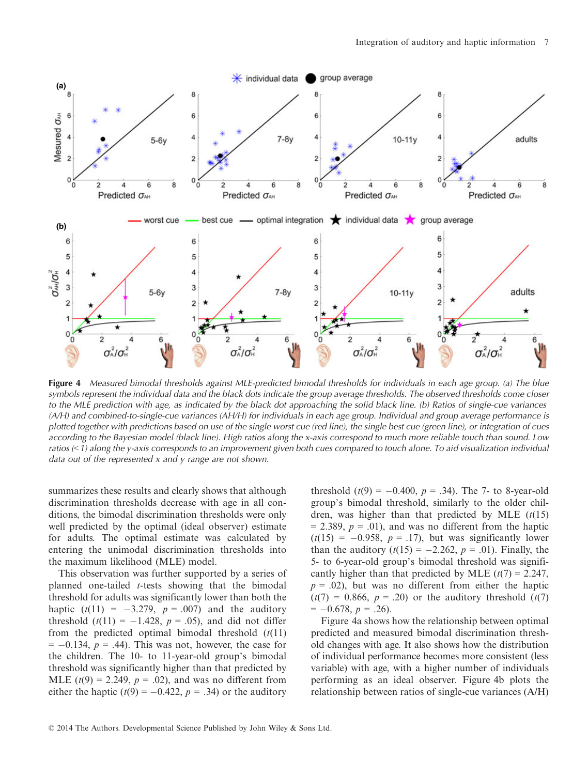

Figure 4 Measured bimodal thresholds against MLE-predicted bimodal thresholds for individuals in each age group. (a) The blue symbols represent the individual data and the black dots indicate the group average thresholds. The observed thresholds come closer to the MLE prediction with age, as indicated by the black dot approaching the solid black line. (b) Ratios of single-cue variances (A/H) and combined-to-single-cue variances (AH/H) for individuals in each age group. Individual and group average performance is plotted together with predictions based on use of the single worst cue (red line), the single best cue (green line), or integration of cues according to the Bayesian model (black line). High ratios along the x-axis correspond to much more reliable touch than sound. Low ratios  $(1)$  along the y-axis corresponds to an improvement given both cues compared to touch alone. To aid visualization individual data out of the represented x and y range are not shown.

summarizes these results and clearly shows that although discrimination thresholds decrease with age in all conditions, the bimodal discrimination thresholds were only well predicted by the optimal (ideal observer) estimate for adults. The optimal estimate was calculated by entering the unimodal discrimination thresholds into the maximum likelihood (MLE) model.

This observation was further supported by a series of planned one-tailed t-tests showing that the bimodal threshold for adults was significantly lower than both the haptic  $(t(11) = -3.279, p = .007)$  and the auditory threshold  $(t(11) = -1.428$ ,  $p = .05$ ), and did not differ from the predicted optimal bimodal threshold  $(t(11))$  $= -0.134$ ,  $p = .44$ ). This was not, however, the case for the children. The 10- to 11-year-old group's bimodal threshold was significantly higher than that predicted by MLE  $(t(9) = 2.249, p = .02)$ , and was no different from either the haptic  $(t(9) = -0.422, p = .34)$  or the auditory

threshold  $(t(9) = -0.400, p = .34)$ . The 7- to 8-year-old group's bimodal threshold, similarly to the older children, was higher than that predicted by MLE  $(t(15))$  $= 2.389, p = .01$ , and was no different from the haptic  $(t(15) = -0.958, p = .17)$ , but was significantly lower than the auditory  $(t(15) = -2.262, p = .01)$ . Finally, the 5- to 6-year-old group's bimodal threshold was significantly higher than that predicted by MLE  $(t(7) = 2.247$ ,  $p = .02$ ), but was no different from either the haptic  $(t(7) = 0.866, p = .20)$  or the auditory threshold  $(t(7)$  $= -0.678, p = .26$ .

Figure 4a shows how the relationship between optimal predicted and measured bimodal discrimination threshold changes with age. It also shows how the distribution of individual performance becomes more consistent (less variable) with age, with a higher number of individuals performing as an ideal observer. Figure 4b plots the relationship between ratios of single-cue variances (A/H)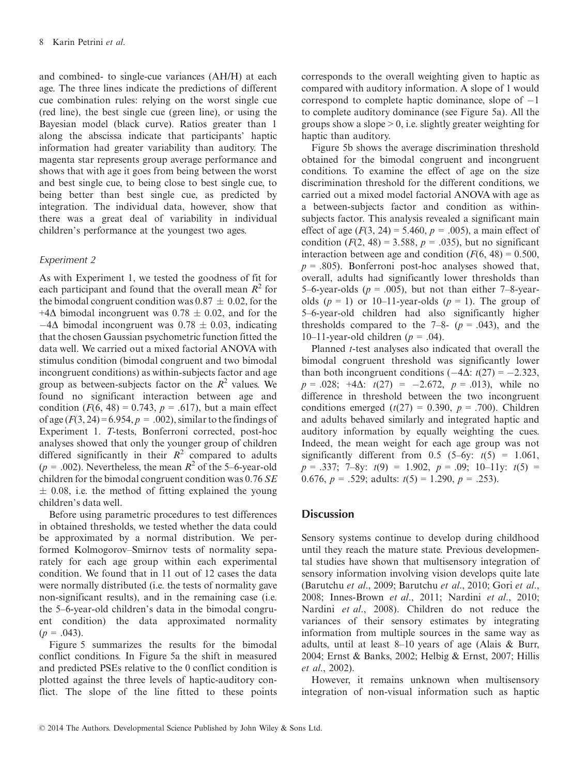and combined- to single-cue variances (AH/H) at each age. The three lines indicate the predictions of different cue combination rules: relying on the worst single cue (red line), the best single cue (green line), or using the Bayesian model (black curve). Ratios greater than 1 along the abscissa indicate that participants' haptic information had greater variability than auditory. The magenta star represents group average performance and shows that with age it goes from being between the worst and best single cue, to being close to best single cue, to being better than best single cue, as predicted by integration. The individual data, however, show that there was a great deal of variability in individual children's performance at the youngest two ages.

#### Experiment 2

As with Experiment 1, we tested the goodness of fit for each participant and found that the overall mean  $R^2$  for the bimodal congruent condition was  $0.87 \pm 0.02$ , for the +4 $\Delta$  bimodal incongruent was 0.78  $\pm$  0.02, and for the  $-4\Delta$  bimodal incongruent was 0.78  $\pm$  0.03, indicating that the chosen Gaussian psychometric function fitted the data well. We carried out a mixed factorial ANOVA with stimulus condition (bimodal congruent and two bimodal incongruent conditions) as within-subjects factor and age group as between-subjects factor on the  $R^2$  values. We found no significant interaction between age and condition  $(F(6, 48) = 0.743, p = .617)$ , but a main effect of age  $(F(3, 24) = 6.954, p = .002)$ , similar to the findings of Experiment 1. T-tests, Bonferroni corrected, post-hoc analyses showed that only the younger group of children differed significantly in their  $R^2$  compared to adults  $(p = .002)$ . Nevertheless, the mean  $R^2$  of the 5–6-year-old children for the bimodal congruent condition was  $0.76$  SE  $\pm$  0.08, i.e. the method of fitting explained the young children's data well.

Before using parametric procedures to test differences in obtained thresholds, we tested whether the data could be approximated by a normal distribution. We performed Kolmogorov–Smirnov tests of normality separately for each age group within each experimental condition. We found that in 11 out of 12 cases the data were normally distributed (i.e. the tests of normality gave non-significant results), and in the remaining case (i.e. the 5–6-year-old children's data in the bimodal congruent condition) the data approximated normality  $(p = .043)$ .

Figure 5 summarizes the results for the bimodal conflict conditions. In Figure 5a the shift in measured and predicted PSEs relative to the 0 conflict condition is plotted against the three levels of haptic-auditory conflict. The slope of the line fitted to these points corresponds to the overall weighting given to haptic as compared with auditory information. A slope of 1 would correspond to complete haptic dominance, slope of  $-1$ to complete auditory dominance (see Figure 5a). All the groups show a slope  $> 0$ , i.e. slightly greater weighting for haptic than auditory.

Figure 5b shows the average discrimination threshold obtained for the bimodal congruent and incongruent conditions. To examine the effect of age on the size discrimination threshold for the different conditions, we carried out a mixed model factorial ANOVA with age as a between-subjects factor and condition as withinsubjects factor. This analysis revealed a significant main effect of age  $(F(3, 24) = 5.460, p = .005)$ , a main effect of condition  $(F(2, 48) = 3.588, p = .035)$ , but no significant interaction between age and condition  $(F(6, 48) = 0.500,$  $p = .805$ ). Bonferroni post-hoc analyses showed that, overall, adults had significantly lower thresholds than 5–6-year-olds ( $p = .005$ ), but not than either 7–8-yearolds  $(p = 1)$  or 10–11-year-olds  $(p = 1)$ . The group of 5–6-year-old children had also significantly higher thresholds compared to the  $7-8 (p = .043)$ , and the 10–11-year-old children ( $p = .04$ ).

Planned t-test analyses also indicated that overall the bimodal congruent threshold was significantly lower than both incongruent conditions  $(-4\Delta: t(27) = -2.323,$  $p = .028$ ;  $+4\Delta$ :  $t(27) = -2.672$ ,  $p = .013$ ), while no difference in threshold between the two incongruent conditions emerged  $(t(27) = 0.390, p = .700)$ . Children and adults behaved similarly and integrated haptic and auditory information by equally weighting the cues. Indeed, the mean weight for each age group was not significantly different from 0.5 (5–6y:  $t(5) = 1.061$ ,  $p = .337$ ; 7–8y:  $t(9) = 1.902$ ,  $p = .09$ ; 10–11y:  $t(5) =$ 0.676,  $p = .529$ ; adults:  $t(5) = 1.290$ ,  $p = .253$ ).

## **Discussion**

Sensory systems continue to develop during childhood until they reach the mature state. Previous developmental studies have shown that multisensory integration of sensory information involving vision develops quite late (Barutchu et al., 2009; Barutchu et al., 2010; Gori et al., 2008; Innes-Brown et al., 2011; Nardini et al., 2010; Nardini et al., 2008). Children do not reduce the variances of their sensory estimates by integrating information from multiple sources in the same way as adults, until at least 8–10 years of age (Alais & Burr, 2004; Ernst & Banks, 2002; Helbig & Ernst, 2007; Hillis et al., 2002).

However, it remains unknown when multisensory integration of non-visual information such as haptic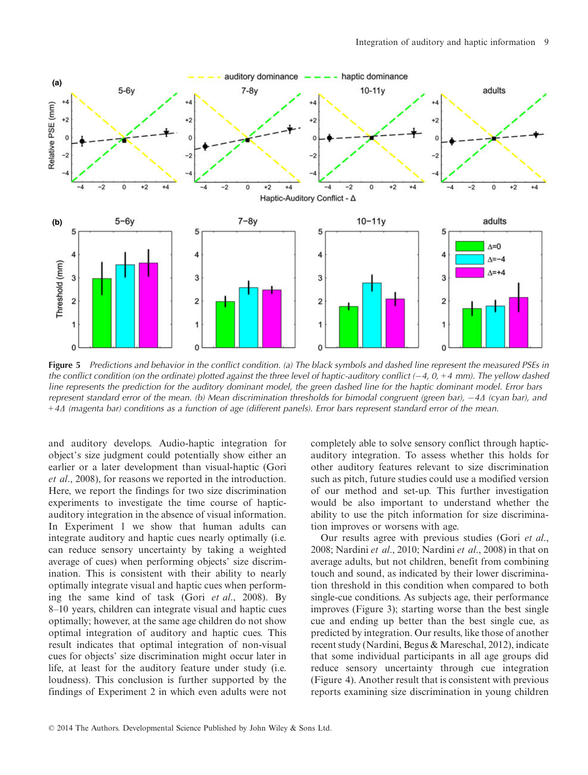

Figure 5 Predictions and behavior in the conflict condition. (a) The black symbols and dashed line represent the measured PSEs in the conflict condition (on the ordinate) plotted against the three level of haptic-auditory conflict  $(-4, 0, +4$  mm). The yellow dashed line represents the prediction for the auditory dominant model, the green dashed line for the haptic dominant model. Error bars represent standard error of the mean. (b) Mean discrimination thresholds for bimodal congruent (green bar),  $-4\Delta$  (cyan bar), and  $+4\Delta$  (magenta bar) conditions as a function of age (different panels). Error bars represent standard error of the mean.

and auditory develops. Audio-haptic integration for object's size judgment could potentially show either an earlier or a later development than visual-haptic (Gori et al., 2008), for reasons we reported in the introduction. Here, we report the findings for two size discrimination experiments to investigate the time course of hapticauditory integration in the absence of visual information. In Experiment 1 we show that human adults can integrate auditory and haptic cues nearly optimally (i.e. can reduce sensory uncertainty by taking a weighted average of cues) when performing objects' size discrimination. This is consistent with their ability to nearly optimally integrate visual and haptic cues when performing the same kind of task (Gori et al., 2008). By 8–10 years, children can integrate visual and haptic cues optimally; however, at the same age children do not show optimal integration of auditory and haptic cues. This result indicates that optimal integration of non-visual cues for objects' size discrimination might occur later in life, at least for the auditory feature under study (i.e. loudness). This conclusion is further supported by the findings of Experiment 2 in which even adults were not completely able to solve sensory conflict through hapticauditory integration. To assess whether this holds for other auditory features relevant to size discrimination such as pitch, future studies could use a modified version of our method and set-up. This further investigation would be also important to understand whether the ability to use the pitch information for size discrimination improves or worsens with age.

Our results agree with previous studies (Gori et al., 2008; Nardini et al., 2010; Nardini et al., 2008) in that on average adults, but not children, benefit from combining touch and sound, as indicated by their lower discrimination threshold in this condition when compared to both single-cue conditions. As subjects age, their performance improves (Figure 3); starting worse than the best single cue and ending up better than the best single cue, as predicted by integration. Our results, like those of another recent study (Nardini, Begus & Mareschal, 2012), indicate that some individual participants in all age groups did reduce sensory uncertainty through cue integration (Figure 4). Another result that is consistent with previous reports examining size discrimination in young children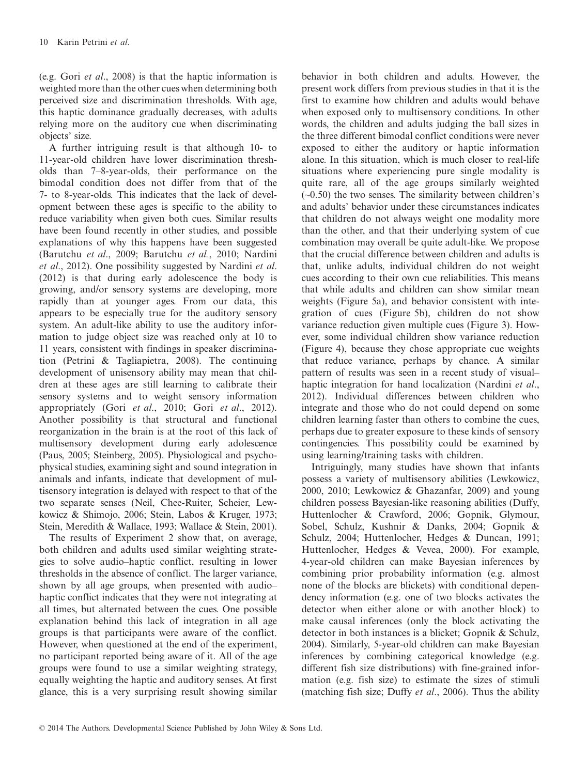(e.g. Gori et al., 2008) is that the haptic information is weighted more than the other cues when determining both perceived size and discrimination thresholds. With age, this haptic dominance gradually decreases, with adults relying more on the auditory cue when discriminating objects' size.

A further intriguing result is that although 10- to 11-year-old children have lower discrimination thresholds than 7–8-year-olds, their performance on the bimodal condition does not differ from that of the 7- to 8-year-olds. This indicates that the lack of development between these ages is specific to the ability to reduce variability when given both cues. Similar results have been found recently in other studies, and possible explanations of why this happens have been suggested (Barutchu et al., 2009; Barutchu et al., 2010; Nardini et al., 2012). One possibility suggested by Nardini et al. (2012) is that during early adolescence the body is growing, and/or sensory systems are developing, more rapidly than at younger ages. From our data, this appears to be especially true for the auditory sensory system. An adult-like ability to use the auditory information to judge object size was reached only at 10 to 11 years, consistent with findings in speaker discrimination (Petrini & Tagliapietra, 2008). The continuing development of unisensory ability may mean that children at these ages are still learning to calibrate their sensory systems and to weight sensory information appropriately (Gori et al., 2010; Gori et al., 2012). Another possibility is that structural and functional reorganization in the brain is at the root of this lack of multisensory development during early adolescence (Paus, 2005; Steinberg, 2005). Physiological and psychophysical studies, examining sight and sound integration in animals and infants, indicate that development of multisensory integration is delayed with respect to that of the two separate senses (Neil, Chee-Ruiter, Scheier, Lewkowicz & Shimojo, 2006; Stein, Labos & Kruger, 1973; Stein, Meredith & Wallace, 1993; Wallace & Stein, 2001).

The results of Experiment 2 show that, on average, both children and adults used similar weighting strategies to solve audio–haptic conflict, resulting in lower thresholds in the absence of conflict. The larger variance, shown by all age groups, when presented with audio– haptic conflict indicates that they were not integrating at all times, but alternated between the cues. One possible explanation behind this lack of integration in all age groups is that participants were aware of the conflict. However, when questioned at the end of the experiment, no participant reported being aware of it. All of the age groups were found to use a similar weighting strategy, equally weighting the haptic and auditory senses. At first glance, this is a very surprising result showing similar

behavior in both children and adults. However, the present work differs from previous studies in that it is the first to examine how children and adults would behave when exposed only to multisensory conditions. In other words, the children and adults judging the ball sizes in the three different bimodal conflict conditions were never exposed to either the auditory or haptic information alone. In this situation, which is much closer to real-life situations where experiencing pure single modality is quite rare, all of the age groups similarly weighted  $(-0.50)$  the two senses. The similarity between children's and adults' behavior under these circumstances indicates that children do not always weight one modality more than the other, and that their underlying system of cue combination may overall be quite adult-like. We propose that the crucial difference between children and adults is that, unlike adults, individual children do not weight cues according to their own cue reliabilities. This means that while adults and children can show similar mean weights (Figure 5a), and behavior consistent with integration of cues (Figure 5b), children do not show variance reduction given multiple cues (Figure 3). However, some individual children show variance reduction (Figure 4), because they chose appropriate cue weights that reduce variance, perhaps by chance. A similar pattern of results was seen in a recent study of visual– haptic integration for hand localization (Nardini et al., 2012). Individual differences between children who integrate and those who do not could depend on some children learning faster than others to combine the cues, perhaps due to greater exposure to these kinds of sensory contingencies. This possibility could be examined by using learning/training tasks with children.

Intriguingly, many studies have shown that infants possess a variety of multisensory abilities (Lewkowicz, 2000, 2010; Lewkowicz & Ghazanfar, 2009) and young children possess Bayesian-like reasoning abilities (Duffy, Huttenlocher & Crawford, 2006; Gopnik, Glymour, Sobel, Schulz, Kushnir & Danks, 2004; Gopnik & Schulz, 2004; Huttenlocher, Hedges & Duncan, 1991; Huttenlocher, Hedges & Vevea, 2000). For example, 4-year-old children can make Bayesian inferences by combining prior probability information (e.g. almost none of the blocks are blickets) with conditional dependency information (e.g. one of two blocks activates the detector when either alone or with another block) to make causal inferences (only the block activating the detector in both instances is a blicket; Gopnik & Schulz, 2004). Similarly, 5-year-old children can make Bayesian inferences by combining categorical knowledge (e.g. different fish size distributions) with fine-grained information (e.g. fish size) to estimate the sizes of stimuli (matching fish size; Duffy et al., 2006). Thus the ability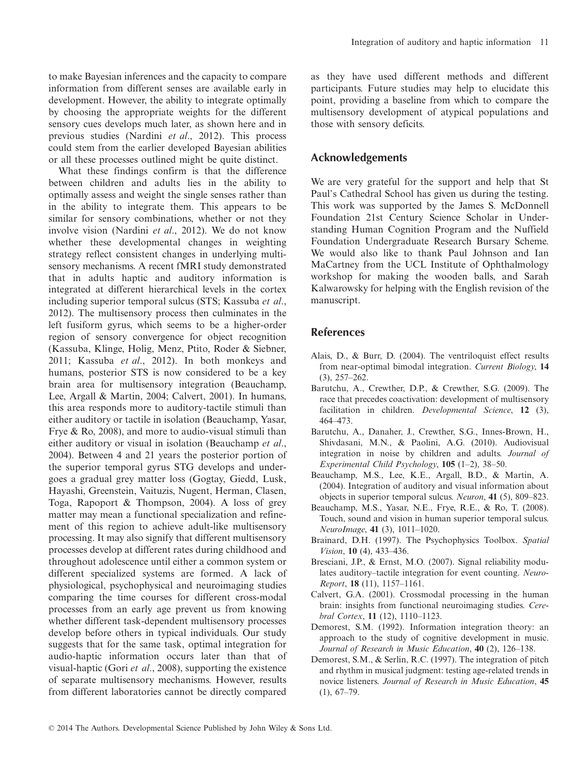to make Bayesian inferences and the capacity to compare information from different senses are available early in development. However, the ability to integrate optimally by choosing the appropriate weights for the different sensory cues develops much later, as shown here and in previous studies (Nardini et al., 2012). This process could stem from the earlier developed Bayesian abilities or all these processes outlined might be quite distinct.

What these findings confirm is that the difference between children and adults lies in the ability to optimally assess and weight the single senses rather than in the ability to integrate them. This appears to be similar for sensory combinations, whether or not they involve vision (Nardini et al., 2012). We do not know whether these developmental changes in weighting strategy reflect consistent changes in underlying multisensory mechanisms. A recent fMRI study demonstrated that in adults haptic and auditory information is integrated at different hierarchical levels in the cortex including superior temporal sulcus (STS; Kassuba et al., 2012). The multisensory process then culminates in the left fusiform gyrus, which seems to be a higher-order region of sensory convergence for object recognition (Kassuba, Klinge, Holig, Menz, Ptito, Roder & Siebner, 2011; Kassuba et al., 2012). In both monkeys and humans, posterior STS is now considered to be a key brain area for multisensory integration (Beauchamp, Lee, Argall & Martin, 2004; Calvert, 2001). In humans, this area responds more to auditory-tactile stimuli than either auditory or tactile in isolation (Beauchamp, Yasar, Frye & Ro, 2008), and more to audio-visual stimuli than either auditory or visual in isolation (Beauchamp et al., 2004). Between 4 and 21 years the posterior portion of the superior temporal gyrus STG develops and undergoes a gradual grey matter loss (Gogtay, Giedd, Lusk, Hayashi, Greenstein, Vaituzis, Nugent, Herman, Clasen, Toga, Rapoport & Thompson, 2004). A loss of grey matter may mean a functional specialization and refinement of this region to achieve adult-like multisensory processing. It may also signify that different multisensory processes develop at different rates during childhood and throughout adolescence until either a common system or different specialized systems are formed. A lack of physiological, psychophysical and neuroimaging studies comparing the time courses for different cross-modal processes from an early age prevent us from knowing whether different task-dependent multisensory processes develop before others in typical individuals. Our study suggests that for the same task, optimal integration for audio-haptic information occurs later than that of visual-haptic (Gori et al., 2008), supporting the existence of separate multisensory mechanisms. However, results from different laboratories cannot be directly compared as they have used different methods and different participants. Future studies may help to elucidate this point, providing a baseline from which to compare the multisensory development of atypical populations and those with sensory deficits.

## Acknowledgements

We are very grateful for the support and help that St Paul's Cathedral School has given us during the testing. This work was supported by the James S. McDonnell Foundation 21st Century Science Scholar in Understanding Human Cognition Program and the Nuffield Foundation Undergraduate Research Bursary Scheme. We would also like to thank Paul Johnson and Ian MaCartney from the UCL Institute of Ophthalmology workshop for making the wooden balls, and Sarah Kalwarowsky for helping with the English revision of the manuscript.

#### References

- Alais, D., & Burr, D. (2004). The ventriloquist effect results from near-optimal bimodal integration. Current Biology, 14 (3), 257–262.
- Barutchu, A., Crewther, D.P., & Crewther, S.G. (2009). The race that precedes coactivation: development of multisensory facilitation in children. Developmental Science, 12 (3), 464–473.
- Barutchu, A., Danaher, J., Crewther, S.G., Innes-Brown, H., Shivdasani, M.N., & Paolini, A.G. (2010). Audiovisual integration in noise by children and adults. Journal of Experimental Child Psychology, 105 (1–2), 38–50.
- Beauchamp, M.S., Lee, K.E., Argall, B.D., & Martin, A. (2004). Integration of auditory and visual information about objects in superior temporal sulcus. Neuron, 41 (5), 809–823.
- Beauchamp, M.S., Yasar, N.E., Frye, R.E., & Ro, T. (2008). Touch, sound and vision in human superior temporal sulcus. NeuroImage, 41 (3), 1011–1020.
- Brainard, D.H. (1997). The Psychophysics Toolbox. Spatial Vision, 10 (4), 433–436.
- Bresciani, J.P., & Ernst, M.O. (2007). Signal reliability modulates auditory–tactile integration for event counting. Neuro-Report, 18 (11), 1157–1161.
- Calvert, G.A. (2001). Crossmodal processing in the human brain: insights from functional neuroimaging studies. Cerebral Cortex, 11 (12), 1110–1123.
- Demorest, S.M. (1992). Information integration theory: an approach to the study of cognitive development in music. Journal of Research in Music Education, 40 (2), 126-138.
- Demorest, S.M., & Serlin, R.C. (1997). The integration of pitch and rhythm in musical judgment: testing age-related trends in novice listeners. Journal of Research in Music Education, 45  $(1), 67-79.$